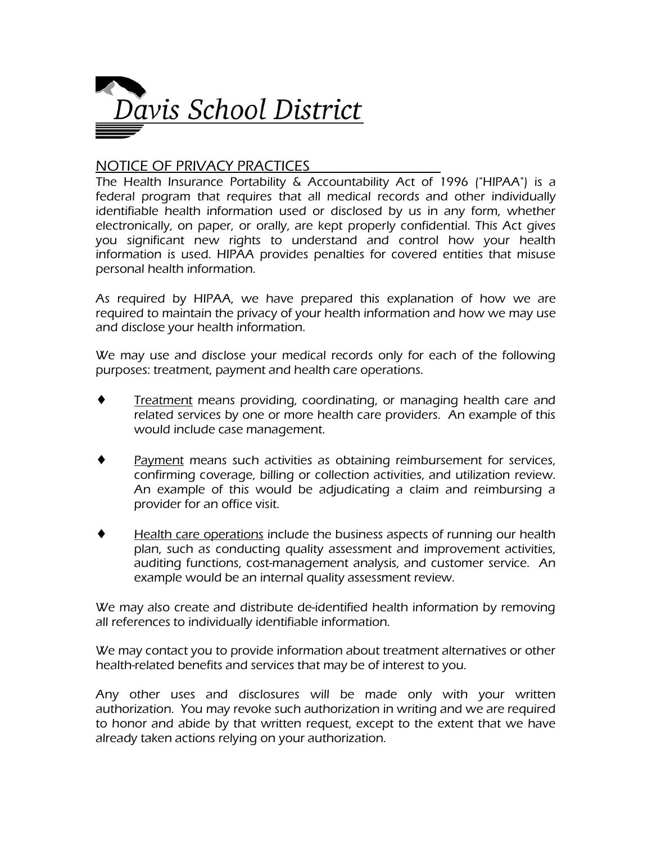

## NOTICE OF PRIVACY PRACTICES

The Health Insurance Portability & Accountability Act of 1996 ("HIPAA") is a federal program that requires that all medical records and other individually identifiable health information used or disclosed by us in any form, whether electronically, on paper, or orally, are kept properly confidential. This Act gives you significant new rights to understand and control how your health information is used. HIPAA provides penalties for covered entities that misuse personal health information.

As required by HIPAA, we have prepared this explanation of how we are required to maintain the privacy of your health information and how we may use and disclose your health information.

We may use and disclose your medical records only for each of the following purposes: treatment, payment and health care operations.

- $\bullet$  Treatment means providing, coordinating, or managing health care and related services by one or more health care providers. An example of this would include case management.
- Payment means such activities as obtaining reimbursement for services, confirming coverage, billing or collection activities, and utilization review. An example of this would be adjudicating a claim and reimbursing a provider for an office visit.
- ♦ Health care operations include the business aspects of running our health plan, such as conducting quality assessment and improvement activities, auditing functions, cost-management analysis, and customer service. An example would be an internal quality assessment review.

We may also create and distribute de-identified health information by removing all references to individually identifiable information.

We may contact you to provide information about treatment alternatives or other health-related benefits and services that may be of interest to you.

Any other uses and disclosures will be made only with your written authorization. You may revoke such authorization in writing and we are required to honor and abide by that written request, except to the extent that we have already taken actions relying on your authorization.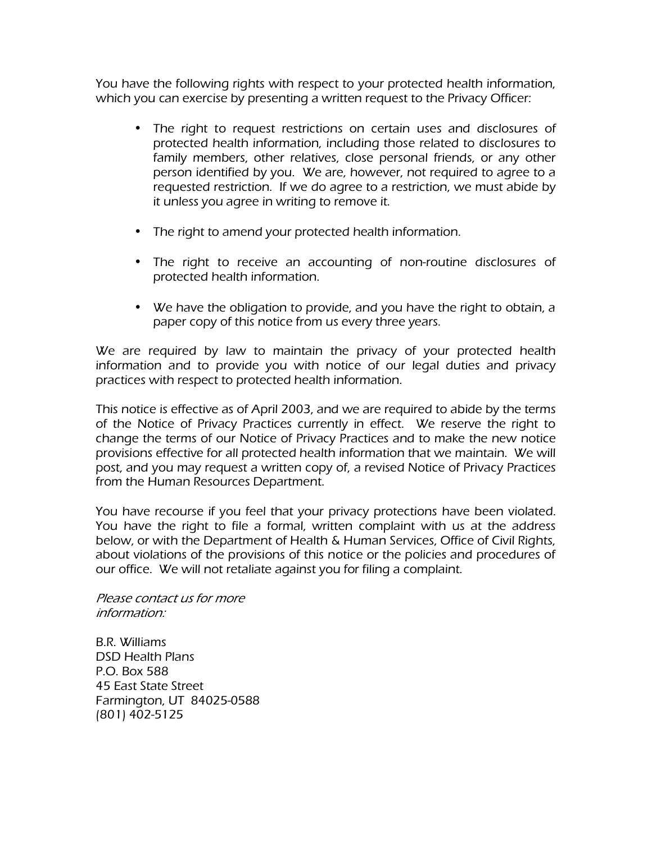You have the following rights with respect to your protected health information, which you can exercise by presenting a written request to the Privacy Officer:

- The right to request restrictions on certain uses and disclosures of protected health information, including those related to disclosures to family members, other relatives, close personal friends, or any other person identified by you. We are, however, not required to agree to a requested restriction. If we do agree to a restriction, we must abide by it unless you agree in writing to remove it.
- The right to amend your protected health information.
- The right to receive an accounting of non-routine disclosures of protected health information.
- We have the obligation to provide, and you have the right to obtain, a paper copy of this notice from us every three years.

We are required by law to maintain the privacy of your protected health information and to provide you with notice of our legal duties and privacy practices with respect to protected health information.

This notice is effective as of April 2003, and we are required to abide by the terms of the Notice of Privacy Practices currently in effect. We reserve the right to change the terms of our Notice of Privacy Practices and to make the new notice provisions effective for all protected health information that we maintain. We will post, and you may request a written copy of, a revised Notice of Privacy Practices from the Human Resources Department.

You have recourse if you feel that your privacy protections have been violated. You have the right to file a formal, written complaint with us at the address below, or with the Department of Health & Human Services, Office of Civil Rights, about violations of the provisions of this notice or the policies and procedures of our office. We will not retaliate against you for filing a complaint.

Please contact us for more information:

B.R. Williams DSD Health Plans P.O. Box 588 45 East State Street Farmington, UT 84025-0588 (801) 402-5125